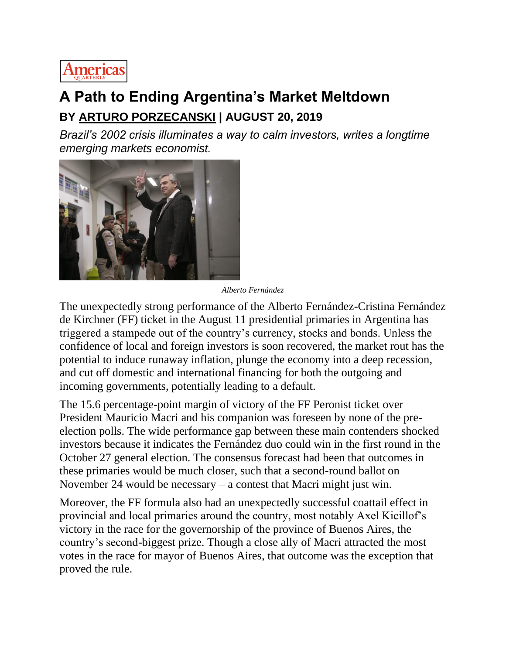

## **A Path to Ending Argentina's Market Meltdown BY [ARTURO PORZECANSKI](https://www.americasquarterly.org/content/arturo-porzecanski) | AUGUST 20, 2019**

*Brazil's 2002 crisis illuminates a way to calm investors, writes a longtime emerging markets economist.*



*Alberto Fernández*

The unexpectedly strong performance of the Alberto Fernández-Cristina Fernández de Kirchner (FF) ticket in the August 11 presidential primaries in Argentina has triggered a stampede out of the country's currency, stocks and bonds. Unless the confidence of local and foreign investors is soon recovered, the market rout has the potential to induce runaway inflation, plunge the economy into a deep recession, and cut off domestic and international financing for both the outgoing and incoming governments, potentially leading to a default.

The 15.6 percentage-point margin of victory of the FF Peronist ticket over President Mauricio Macri and his companion was foreseen by none of the preelection polls. The wide performance gap between these main contenders shocked investors because it indicates the Fernández duo could win in the first round in the October 27 general election. The consensus forecast had been that outcomes in these primaries would be much closer, such that a second-round ballot on November 24 would be necessary – a contest that Macri might just win.

Moreover, the FF formula also had an unexpectedly successful coattail effect in provincial and local primaries around the country, most notably Axel Kicillof's victory in the race for the governorship of the province of Buenos Aires, the country's second-biggest prize. Though a close ally of Macri attracted the most votes in the race for mayor of Buenos Aires, that outcome was the exception that proved the rule.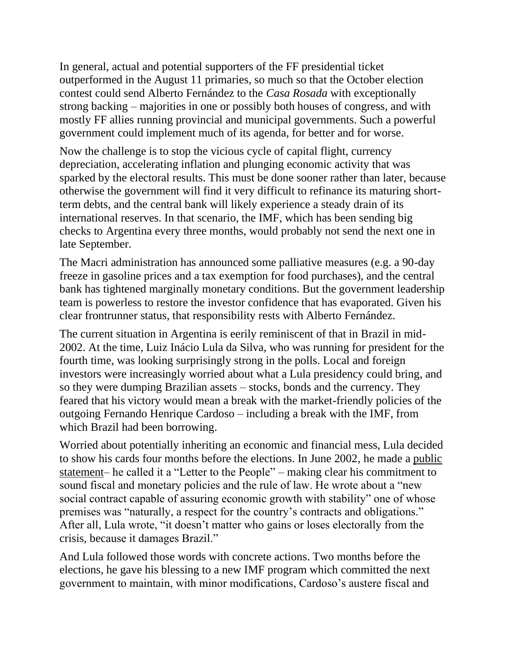In general, actual and potential supporters of the FF presidential ticket outperformed in the August 11 primaries, so much so that the October election contest could send Alberto Fernández to the *Casa Rosada* with exceptionally strong backing – majorities in one or possibly both houses of congress, and with mostly FF allies running provincial and municipal governments. Such a powerful government could implement much of its agenda, for better and for worse.

Now the challenge is to stop the vicious cycle of capital flight, currency depreciation, accelerating inflation and plunging economic activity that was sparked by the electoral results. This must be done sooner rather than later, because otherwise the government will find it very difficult to refinance its maturing shortterm debts, and the central bank will likely experience a steady drain of its international reserves. In that scenario, the IMF, which has been sending big checks to Argentina every three months, would probably not send the next one in late September.

The Macri administration has announced some palliative measures (e.g. a 90-day freeze in gasoline prices and a tax exemption for food purchases), and the central bank has tightened marginally monetary conditions. But the government leadership team is powerless to restore the investor confidence that has evaporated. Given his clear frontrunner status, that responsibility rests with Alberto Fernández.

The current situation in Argentina is eerily reminiscent of that in Brazil in mid-2002. At the time, Luiz Inácio Lula da Silva, who was running for president for the fourth time, was looking surprisingly strong in the polls. Local and foreign investors were increasingly worried about what a Lula presidency could bring, and so they were dumping Brazilian assets – stocks, bonds and the currency. They feared that his victory would mean a break with the market-friendly policies of the outgoing Fernando Henrique Cardoso – including a break with the IMF, from which Brazil had been borrowing.

Worried about potentially inheriting an economic and financial mess, Lula decided to show his cards four months before the elections. In June 2002, he made a [public](https://www1.folha.uol.com.br/folha/brasil/ult96u33908.shtml)  [statement–](https://www1.folha.uol.com.br/folha/brasil/ult96u33908.shtml) he called it a "Letter to the People" – making clear his commitment to sound fiscal and monetary policies and the rule of law. He wrote about a "new social contract capable of assuring economic growth with stability" one of whose premises was "naturally, a respect for the country's contracts and obligations." After all, Lula wrote, "it doesn't matter who gains or loses electorally from the crisis, because it damages Brazil."

And Lula followed those words with concrete actions. Two months before the elections, he gave his blessing to a new IMF program which committed the next government to maintain, with minor modifications, Cardoso's austere fiscal and